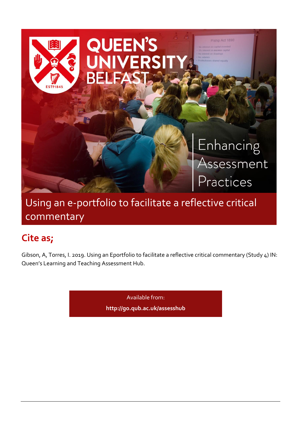

# Using an e-portfolio to facilitate a reflective critical commentary

# **Cite as;**

Gibson, A, Torres, I. 2019. Using an Eportfolio to facilitate a reflective critical commentary (Study 4) IN: Queen's Learning and Teaching Assessment Hub.

Available from:

**<http://go.qub.ac.uk/assesshub>**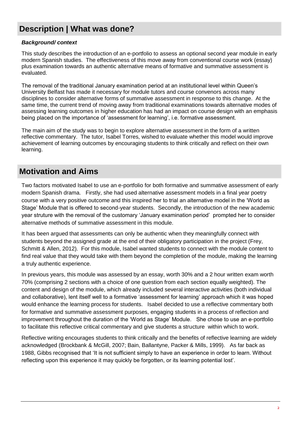# **Description | What was done?**

### *Background/ context*

This study describes the introduction of an e-portfolio to assess an optional second year module in early modern Spanish studies. The effectiveness of this move away from conventional course work (essay) plus examination towards an authentic alternative means of formative and summative assessment is evaluated.

The removal of the traditional January examination period at an institutional level within Queen's University Belfast has made it necessary for module tutors and course convenors across many disciplines to consider alternative forms of summative assessment in response to this change. At the same time, the current trend of moving away from traditional examinations towards alternative modes of assessing learning outcomes in higher education has had an impact on course design with an emphasis being placed on the importance of 'assessment for learning', i.e. formative assessment.

The main aim of the study was to begin to explore alternative assessment in the form of a written reflective commentary. The tutor, Isabel Torres, wished to evaluate whether this model would improve achievement of learning outcomes by encouraging students to think critically and reflect on their own learning.

### **Motivation and Aims**

Two factors motivated Isabel to use an e-portfolio for both formative and summative assessment of early modern Spanish drama. Firstly, she had used alternative assessment models in a final year poetry course with a very positive outcome and this inspired her to trial an alternative model in the 'World as Stage' Module that is offered to second-year students. Secondly, the introduction of the new academic year struture with the removal of the customary 'January examination period' prompted her to consider alternative methods of summative assessment in this module.

It has been argued that assessments can only be authentic when they meaningfully connect with students beyond the assigned grade at the end of their obligatory participation in the project (Frey, Schmitt & Allen, 2012). For this module, Isabel wanted students to connect with the module content to find real value that they would take with them beyond the completion of the module, making the learning a truly authentic experience.

In previous years, this module was assessed by an essay, worth 30% and a 2 hour written exam worth 70% (comprising 2 sections with a choice of one question from each section equally weighted). The content and design of the module, which already included several interactive activities (both individual and collaborative), lent itself well to a formative 'assessment for learning' approach which it was hoped would enhance the learning process for students. Isabel decided to use a reflective commentary both for formative and summative assessment purposes, engaging students in a process of reflection and improvement throughout the duration of the 'World as Stage' Module. She chose to use an e-portfolio to facilitate this reflective critical commentary and give students a structure within which to work.

Reflective writing encourages students to think critically and the benefits of reflective learning are widely acknowledged (Brockbank & McGill, 2007; Bain, Ballantyne, Packer & Mills, 1999). As far back as 1988, Gibbs recognised that 'It is not sufficient simply to have an experience in order to learn. Without reflecting upon this experience it may quickly be forgotten, or its learning potential lost'.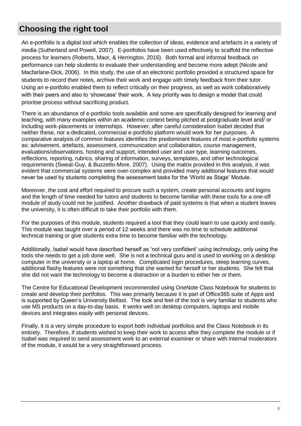# **Choosing the right tool**

An e-portfolio is a digital tool which enables the collection of ideas, evidence and artefacts in a variety of media (Sutherland and Powell, 2007). E-portfolios have been used effectively to scaffold the reflective process for learners (Roberts, Maor, & Herrington, 2016). Both formal and informal feedback on performance can help students to evaluate their understanding and become more adept (Nicole and Macfarlane-Dick, 2006). In this study, the use of an electronic portfolio provided a structured space for students to record their notes, archive their work and engage with timely feedback from their tutor. Using an e-portfolio enabled them to reflect critically on their progress, as well as work collaboratively with their peers and also to 'showcase' their work. A key priority was to design a model that could prioritse process without sacrificing product.

There is an abundance of e-portfolio tools available and some are specifically designed for learning and teaching, with many examples within an academic context being pitched at postgraduate level and/ or including work-placements or internships. However, after careful consideration Isabel decided that neither these, nor a dedicated, commercial e-portfolio platform would work for her purposes. A comparative analysis of common features identifies the predominant features of most e-portfolio systems as: advisement, artefacts, assessment, communication and collaboration, course management, evaluations/observations, hosting and support, intended user and user type, learning outcomes, reflections, reporting, rubrics, sharing of information, surveys, templates, and other technological requirements (Sweat-Guy, & Buzzetto-More, 2007). Using the matrix provided in this analysis, it was evident that commercial systems were over-complex and provided many additional features that would never be used by students completing the assessment tasks for the 'World as Stage' Module.

Moreover, the cost and effort required to procure such a system, create personal accounts and logins and the length of time needed for tutors and students to become familiar with these tools for a one-off module of study could not be justified. Another drawback of paid systems is that when a student leaves the university, it is often difficult to take their portfolio with them.

For the purposes of this module, students required a tool that they could learn to use quickly and easily. This module was taught over a period of 12 weeks and there was no time to schedule additional technical training or give students extra time to become familiar with the technology.

Additionally, Isabel would have described herself as 'not very confident' using technology, only using the tools she needs to get a job done well. She is not a technical guru and is used to working on a desktop computer in the university or a laptop at home. Complicated login procedures, steep learning curves, additional flashy features were not something that she wanted for herself or her students. She felt that she did not want the technology to become a distraction or a burden to either her or them.

The Centre for Educational Development recommended using OneNote Class Notebook for students to create and develop their portfolios. This was primarily because it is part of Office365 suite of Apps and is supported by Queen's University Belfast. The look and feel of the tool is very familiar to students who use MS products on a day-to-day basis. It works well on desktop computers, laptops and mobile devices and integrates easily with personal devices.

Finally, it is a very simple procedure to export both individual portfolios and the Class Notebook in its entirety. Therefore, if students wished to keep their work to access after they complete the module or if Isabel was required to send assessment work to an external examiner or share with internal moderators of the module, it would be a very straightforward process.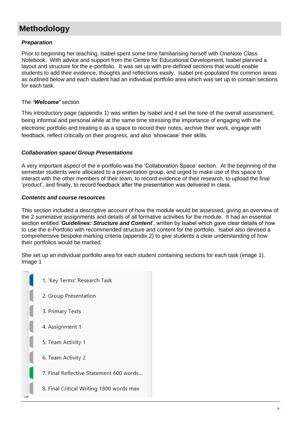# **Methodology**

### *Preparation*

Prior to beginning her teaching, Isabel spent some time familiarising herself with OneNote Class Notebook. With advice and support from the Centre for Educational Development, Isabel planned a layout and structure for the e-portfolio. It was set up with pre-defined sections that would enable students to add their evidence, thoughts and reflections easily. Isabel pre-populated the common areas as outlined below and each student had an individual portfolio area which was set up to contain sections for each task.

### The *'Welcome'* section

This introductory page (appendix 1) was written by Isabel and it set the tone of the overall assessment, being informal and personal while at the same time stressing the importance of engaging with the electronic portfolio and treating it as a space to record their notes, archive their work, engage with feedback, reflect critically on their progress, and also 'showcase' their skills.

### *Collaboration space/ Group Presentations*

A very important aspect of the e-portfolio was the 'Collaboration Space' section. At the beginning of the semester students were allocated to a presentation group, and urged to make use of this space to interact with the other members of their team, to record evidence of their research, to upload the final 'product', and finally, to record feedback after the presentation was delivered in class.

### *Contents and course resources*

This section included a descriptive account of how the module would be assessed, giving an overview of the 2 summative assignments and details of all formative activities for the module. It had an essential section entitled '*Guidelines: Structure and Content*', written by Isabel which gave clear details of how to use the e-Portfolio with recommended structure and content for the portfolio. Isabel also devised a comprehensive bespoke marking criteria (appendix 2) to give students a clear understanding of how their portfolios would be marked.

She set up an individual portfolio area for each student containing sections for each task (image 1). Image 1

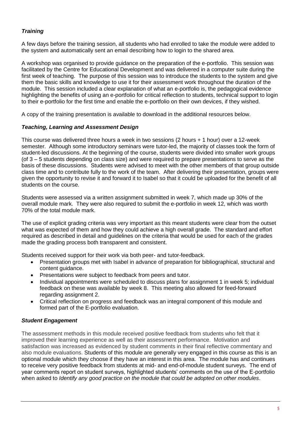### *Training*

A few days before the training session, all students who had enrolled to take the module were added to the system and automatically sent an email describing how to login to the shared area.

A workshop was organised to provide guidance on the preparation of the e-portfolio. This session was facilitated by the Centre for Educational Development and was delivered in a computer suite during the first week of teaching. The purpose of this session was to introduce the students to the system and give them the basic skills and knowledge to use it for their assessment work throughout the duration of the module. This session included a clear explanation of what an e-portfolio is, the pedagogical evidence highlighting the benefits of using an e-portfolio for critical reflection to students, technical support to login to their e-portfolio for the first time and enable the e-portfolio on their own devices, if they wished.

A copy of the training presentation is available to download in the additional resources below.

### *Teaching, Learning and Assessment Design*

This course was delivered three hours a week in two sessions (2 hours + 1 hour) over a 12-week semester. Although some introductory seminars were tutor-led, the majority of classes took the form of student-led discussions. At the beginning of the course, students were divided into smaller work groups (of 3 – 5 students depending on class size) and were required to prepare presentations to serve as the basis of these discussions. Students were advised to meet with the other members of that group outside class time and to contribute fully to the work of the team. After delivering their presentation, groups were given the opportunity to revise it and forward it to Isabel so that it could be uploaded for the benefit of all students on the course.

Students were assessed via a written assignment submitted in week 7, which made up 30% of the overall module mark. They were also required to submit the e-portfolio in week 12, which was worth 70% of the total module mark.

The use of explicit grading criteria was very important as this meant students were clear from the outset what was expected of them and how they could achieve a high overall grade. The standard and effort required as described in detail and guidelines on the criteria that would be used for each of the grades made the grading process both transparent and consistent.

Students received support for their work via both peer- and tutor-feedback.

- Presentation groups met with Isabel in advance of preparation for bibliographical, structural and content guidance.
- Presentations were subject to feedback from peers and tutor.
- Individual appointments were scheduled to discuss plans for assignment 1 in week 5; individual feedback on these was available by week 8. This meeting also allowed for feed-forward regarding assignment 2.
- Critical reflection on progress and feedback was an integral component of this module and formed part of the E-portfolio evaluation.

### *Student Engagement*

The assessment methods in this module received positive feedback from students who felt that it improved their learning experience as well as their assessment performance. Motivation and satisfaction was increased as evidenced by student comments in their final reflective commentary and also module evaluations. Students of this module are generally very engaged in this course as this is an optional module which they choose if they have an interest in this area. The module has and continues to receive very positive feedback from students at mid- and end-of-module student surveys. The end of year comments report on student surveys, highlighted students' comments on the use of the E-portfolio when asked to *Identify any good practice on the module that could be adopted on other modules*.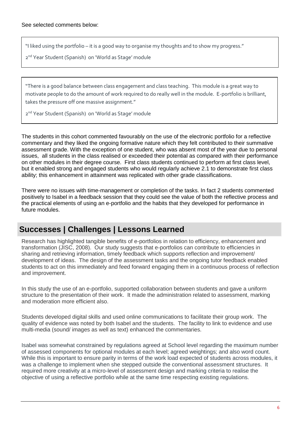"I liked using the portfolio – it is a good way to organise my thoughts and to show my progress."

2 nd Year Student (Spanish) on 'World as Stage' module

"There is a good balance between class engagement and class teaching. This module is a great way to motivate people to do the amount of work required to do really well in the module. E-portfolio is brilliant, takes the pressure off one massive assignment."

2<sup>nd</sup> Year Student (Spanish) on 'World as Stage' module

The students in this cohort commented favourably on the use of the electronic portfolio for a reflective commentary and they liked the ongoing formative nature which they felt contributed to their summative assessment grade. With the exception of one student, who was absent most of the year due to personal issues, all students in the class realised or exceeded their potential as compared with their performance on other modules in their degree course. First class students continued to perform at first class level, but it enabled strong and engaged students who would regularly achieve 2.1 to demonstrate first class ability; this enhancement in attainment was replicated with other grade classifications.

There were no issues with time-management or completion of the tasks. In fact 2 students commented positively to Isabel in a feedback session that they could see the value of both the reflective process and the practical elements of using an e-portfolio and the habits that they developed for performance in future modules.

### **Successes | Challenges | Lessons Learned**

Research has highlighted tangible benefits of e-portfolios in relation to efficiency, enhancement and transformation (JISC, 2008). Our study suggests that e-portfolios can contribute to efficiencies in sharing and retrieving information, timely feedback which supports reflection and improvement/ development of ideas. The design of the assessment tasks and the ongoing tutor feedback enabled students to act on this immediately and feed forward engaging them in a continuous process of reflection and improvement.

In this study the use of an e-portfolio, supported collaboration between students and gave a uniform structure to the presentation of their work. It made the administration related to assessment, marking and moderation more efficient also.

Students developed digital skills and used online communications to facilitate their group work. The quality of evidence was noted by both Isabel and the students. The facility to link to evidence and use multi-media (sound/ images as well as text) enhanced the commentaries.

Isabel was somewhat constrained by regulations agreed at School level regarding the maximum number of assessed components for optional modules at each level; agreed weightings; and also word count. While this is important to ensure parity in terms of the work load expected of students across modules, it was a challenge to implement when she stepped outside the conventional assessment structures. It required more creativity at a micro-level of assessment design and marking criteria to realise the objective of using a reflective portfolio while at the same time respecting existing regulations.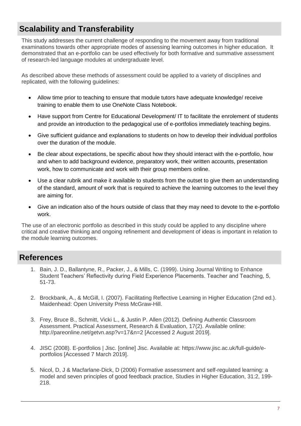# **Scalability and Transferability**

This study addresses the current challenge of responding to the movement away from traditional examinations towards other appropriate modes of assessing learning outcomes in higher education. It demonstrated that an e-portfolio can be used effectively for both formative and summative assessment of research-led language modules at undergraduate level.

As described above these methods of assessment could be applied to a variety of disciplines and replicated, with the following guidelines:

- Allow time prior to teaching to ensure that module tutors have adequate knowledge/ receive training to enable them to use OneNote Class Notebook.
- Have support from Centre for Educational Development/ IT to facilitate the enrolement of students and provide an introduction to the pedagogical use of e-portfolios immediately teaching begins.
- Give sufficient guidance and explanations to students on how to develop their individual portfolios over the duration of the module.
- Be clear about expectations, be specific about how they should interact with the e-portfolio, how and when to add background evidence, preparatory work, their written accounts, presentation work, how to communicate and work with their group members online.
- Use a clear rubrik and make it available to students from the outset to give them an understanding of the standard, amount of work that is required to achieve the learning outcomes to the level they are aiming for.
- Give an indication also of the hours outside of class that they may need to devote to the e-portfolio work.

The use of an electronic portfolio as described in this study could be applied to any discipline where critical and creative thinking and ongoing refinement and development of ideas is important in relation to the module learning outcomes.

### **References**

- 1. Bain, J. D., Ballantyne, R., Packer, J., & Mills, C. (1999). Using Journal Writing to Enhance Student Teachers' Reflectivity during Field Experience Placements. Teacher and Teaching, 5, 51-73.
- 2. Brockbank, A., & McGill, I. (2007). Facilitating Reflective Learning in Higher Education (2nd ed.). Maidenhead: Open University Press McGraw-Hill.
- 3. Frey, Bruce B., Schmitt, Vicki L., & Justin P. Allen (2012). Defining Authentic Classroom Assessment. Practical Assessment, Research & Evaluation, 17(2). Available online: http://pareonline.net/getvn.asp?v=17&n=2 [Accessed 2 August 2019].
- 4. JISC (2008). E-portfolios | Jisc. [online] Jisc. Available at: https://www.jisc.ac.uk/full-guide/eportfolios [Accessed 7 March 2019].
- 5. Nicol, D, J & Macfarlane-Dick, D (2006) Formative assessment and self-regulated learning: a model and seven principles of good feedback practice, Studies in Higher Education, 31:2, 199- 218.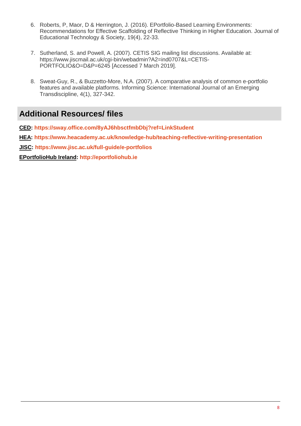- 6. Roberts, P, Maor, D & Herrington, J. (2016). EPortfolio-Based Learning Environments: Recommendations for Effective Scaffolding of Reflective Thinking in Higher Education. Journal of Educational Technology & Society, 19(4), 22-33.
- 7. Sutherland, S. and Powell, A. (2007). CETIS SIG mailing list discussions. Available at: [https://www.jiscmail.ac.uk/cgi-bin/webadmin?A2=ind0707&L=CETIS-](https://www.jiscmail.ac.uk/cgi-bin/webadmin?A2=ind0707&L=CETIS-PORTFOLIO&O=D&P=6245)[PORTFOLIO&O=D&P=6245](https://www.jiscmail.ac.uk/cgi-bin/webadmin?A2=ind0707&L=CETIS-PORTFOLIO&O=D&P=6245) [Accessed 7 March 2019].
- 8. Sweat-Guy, R., & Buzzetto-More, N.A. (2007). A comparative analysis of common e-portfolio features and available platforms. Informing Science: International Journal of an Emerging Transdiscipline, 4(1), 327-342.

## **Additional Resources/ files**

**CED:<https://sway.office.com/8yAJ6hbsctfmbDbj?ref=LinkStudent>**

**HEA: <https://www.heacademy.ac.uk/knowledge-hub/teaching-reflective-writing-presentation>**

**JISC:<https://www.jisc.ac.uk/full-guide/e-portfolios>**

**EPortfolioHub Ireland: [http://eportfoliohub.ie](http://eportfoliohub.ie/)**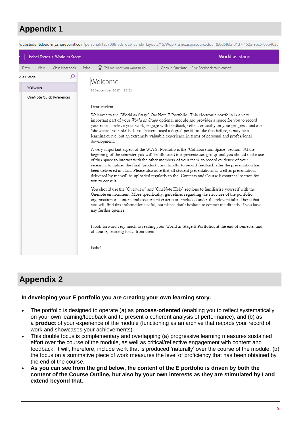# **Appendix 1**



## **Appendix 2**

### **In developing your E portfolio you are creating your own learning story.**

- The portfolio is designed to operate (a) as **process-oriented** (enabling you to reflect systematically on your own learning/feedback and to present a coherent analysis of performance), and (b) as a **product** of your experience of the module (functioning as an archive that records your record of work and showcases your achievements).
- This double focus is complementary and overlapping (a) progressive learning measures sustained effort over the course of the module, as well as critical/reflective engagement with content and feedback. It will, therefore, include work that is produced 'naturally' over the course of the module; (b) the focus on a summative piece of work measures the level of proficiency that has been obtained by the end of the course.
- **As you can see from the grid below, the content of the E portfolio is driven by both the content of the Course Outline, but also by your own interests as they are stimulated by / and extend beyond that.**